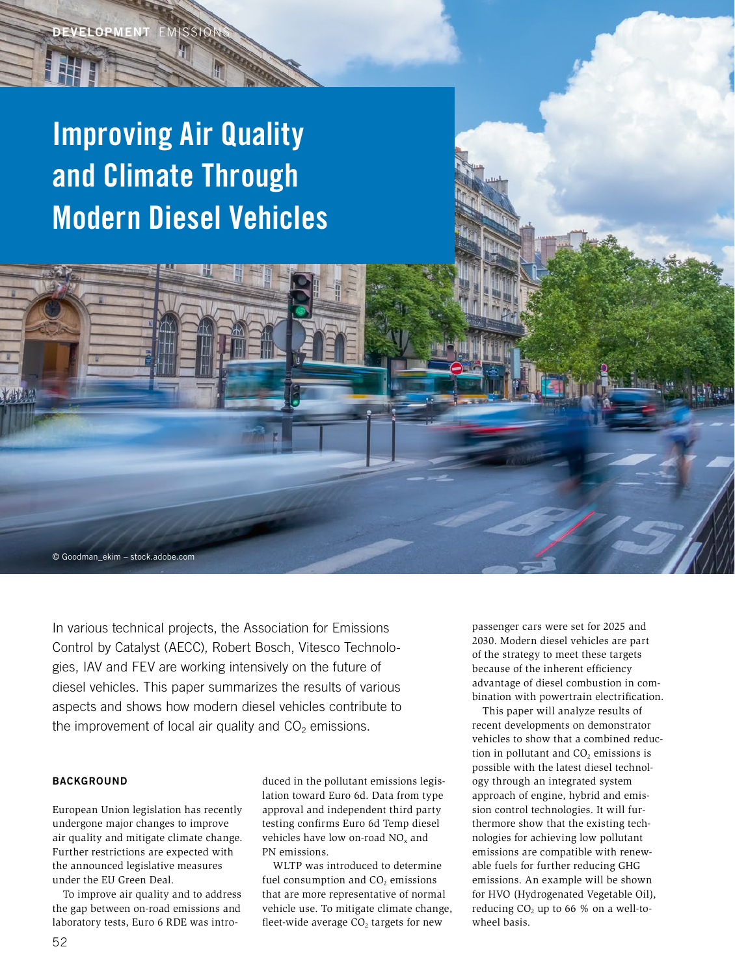# Improving Air Quality and Climate Through Modern Diesel Vehicles

© Goodman\_ekim – stock.adobe.com

In various technical projects, the Association for Emissions Control by Catalyst (AECC), Robert Bosch, Vitesco Technologies, IAV and FEV are working intensively on the future of diesel vehicles. This paper summarizes the results of various aspects and shows how modern diesel vehicles contribute to the improvement of local air quality and  $CO<sub>2</sub>$  emissions.

# **BACKGROUND**

European Union legislation has recently undergone major changes to improve air quality and mitigate climate change. Further restrictions are expected with the announced legislative measures under the EU Green Deal.

To improve air quality and to address the gap between on-road emissions and laboratory tests, Euro 6 RDE was introduced in the pollutant emissions legislation toward Euro 6d. Data from type approval and independent third party testing confirms Euro 6d Temp diesel vehicles have low on-road  $NO<sub>x</sub>$  and PN emissions.

WLTP was introduced to determine fuel consumption and  $CO<sub>2</sub>$  emissions that are more representative of normal vehicle use. To mitigate climate change, fleet-wide average  $CO<sub>2</sub>$  targets for new

passenger cars were set for 2025 and 2030. Modern diesel vehicles are part of the strategy to meet these targets because of the inherent efficiency advantage of diesel combustion in combination with powertrain electrification.

This paper will analyze results of recent developments on demonstrator vehicles to show that a combined reduction in pollutant and CO<sub>2</sub> emissions is possible with the latest diesel technology through an integrated system approach of engine, hybrid and emission control technologies. It will furthermore show that the existing technologies for achieving low pollutant emissions are compatible with renewable fuels for further reducing GHG emissions. An example will be shown for HVO (Hydrogenated Vegetable Oil), reducing  $CO<sub>2</sub>$  up to 66 % on a well-towheel basis.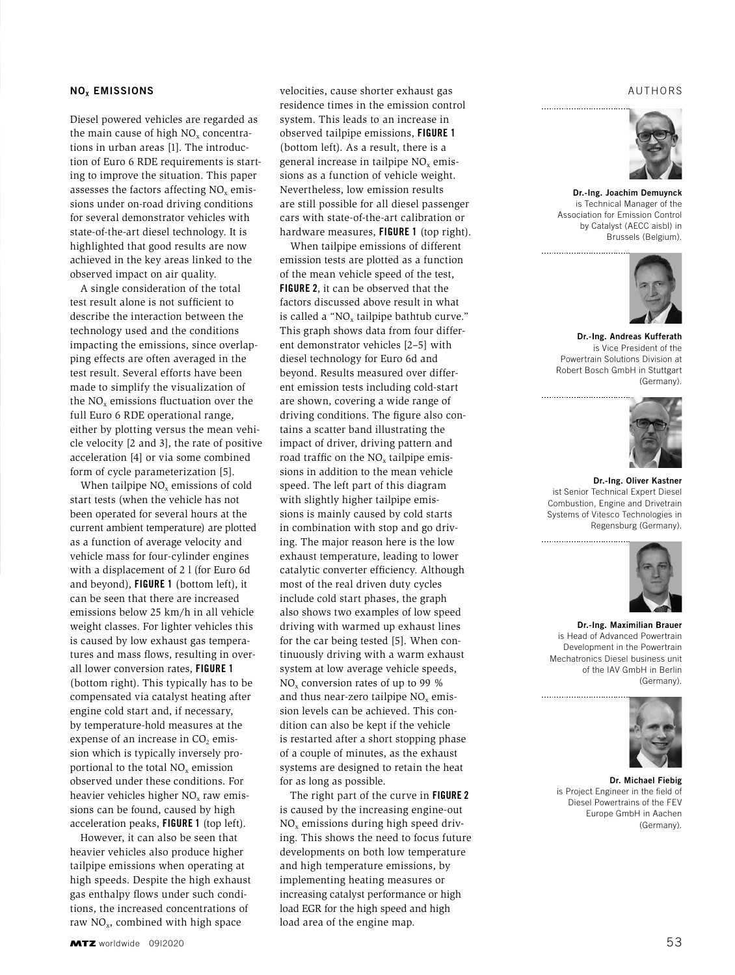#### **NO<sub>x</sub>** EMISSIONS

Diesel powered vehicles are regarded as the main cause of high NO<sub>x</sub> concentrations in urban areas [1]. The introduction of Euro 6 RDE requirements is starting to improve the situation. This paper assesses the factors affecting  $NO<sub>x</sub>$  emissions under on-road driving conditions for several demonstrator vehicles with state-of-the-art diesel technology. It is highlighted that good results are now achieved in the key areas linked to the observed impact on air quality.

A single consideration of the total test result alone is not sufficient to describe the interaction between the technology used and the conditions impacting the emissions, since overlapping effects are often averaged in the test result. Several efforts have been made to simplify the visualization of the  $NO<sub>x</sub>$  emissions fluctuation over the full Euro 6 RDE operational range, either by plotting versus the mean vehicle velocity [2 and 3], the rate of positive acceleration [4] or via some combined form of cycle parameterization [5].

When tailpipe  $NO<sub>x</sub>$  emissions of cold start tests (when the vehicle has not been operated for several hours at the current ambient temperature) are plotted as a function of average velocity and vehicle mass for four-cylinder engines with a displacement of 2 l (for Euro 6d and beyond), FIGURE 1 (bottom left), it can be seen that there are increased emissions below 25 km/h in all vehicle weight classes. For lighter vehicles this is caused by low exhaust gas temperatures and mass flows, resulting in overall lower conversion rates, FIGURE 1 (bottom right). This typically has to be compensated via catalyst heating after engine cold start and, if necessary, by temperature-hold measures at the expense of an increase in  $CO<sub>2</sub>$  emission which is typically inversely proportional to the total  $NO<sub>x</sub>$  emission observed under these conditions. For heavier vehicles higher  $NO<sub>x</sub>$  raw emissions can be found, caused by high acceleration peaks, FIGURE 1 (top left).

However, it can also be seen that heavier vehicles also produce higher tailpipe emissions when operating at high speeds. Despite the high exhaust gas enthalpy flows under such conditions, the increased concentrations of raw  $NO<sub>x</sub>$ , combined with high space

velocities, cause shorter exhaust gas residence times in the emission control system. This leads to an increase in observed tailpipe emissions, FIGURE 1 (bottom left). As a result, there is a general increase in tailpipe  $NO<sub>x</sub>$  emissions as a function of vehicle weight. Nevertheless, low emission results are still possible for all diesel passenger cars with state-of-the-art calibration or hardware measures, **FIGURE 1** (top right).

When tailpipe emissions of different emission tests are plotted as a function of the mean vehicle speed of the test, FIGURE 2, it can be observed that the factors discussed above result in what is called a " $NO<sub>x</sub>$  tailpipe bathtub curve." This graph shows data from four different demonstrator vehicles [2–5] with diesel technology for Euro 6d and beyond. Results measured over different emission tests including cold-start are shown, covering a wide range of driving conditions. The figure also contains a scatter band illustrating the impact of driver, driving pattern and road traffic on the  $NO<sub>x</sub>$  tailpipe emissions in addition to the mean vehicle speed. The left part of this diagram with slightly higher tailpipe emissions is mainly caused by cold starts in combination with stop and go driving. The major reason here is the low exhaust temperature, leading to lower catalytic converter efficiency. Although most of the real driven duty cycles include cold start phases, the graph also shows two examples of low speed driving with warmed up exhaust lines for the car being tested [5]. When continuously driving with a warm exhaust system at low average vehicle speeds,  $NO<sub>x</sub>$  conversion rates of up to 99 % and thus near-zero tailpipe  $NO<sub>x</sub>$  emission levels can be achieved. This condition can also be kept if the vehicle is restarted after a short stopping phase of a couple of minutes, as the exhaust systems are designed to retain the heat for as long as possible.

The right part of the curve in FIGURE 2 is caused by the increasing engine-out  $NO<sub>x</sub>$  emissions during high speed driving. This shows the need to focus future developments on both low temperature and high temperature emissions, by implementing heating measures or increasing catalyst performance or high load EGR for the high speed and high load area of the engine map.

#### AUTHORS



 Dr.-Ing. Joachim Demuynck is Technical Manager of the Association for Emission Control by Catalyst (AECC aisbl) in Brussels (Belgium).

................................



Dr.-Ing. Andreas Kufferath is Vice President of the Powertrain Solutions Division at Robert Bosch GmbH in Stuttgart (Germany).



Dr.-Ing. Oliver Kastner ist Senior Technical Expert Diesel Combustion, Engine and Drivetrain Systems of Vitesco Technologies in Regensburg (Germany).



Dr.-Ing. Maximilian Brauer is Head of Advanced Powertrain Development in the Powertrain Mechatronics Diesel business unit of the IAV GmbH in Berlin (Germany).



Dr. Michael Fiebig is Project Engineer in the field of Diesel Powertrains of the FEV Europe GmbH in Aachen (Germany).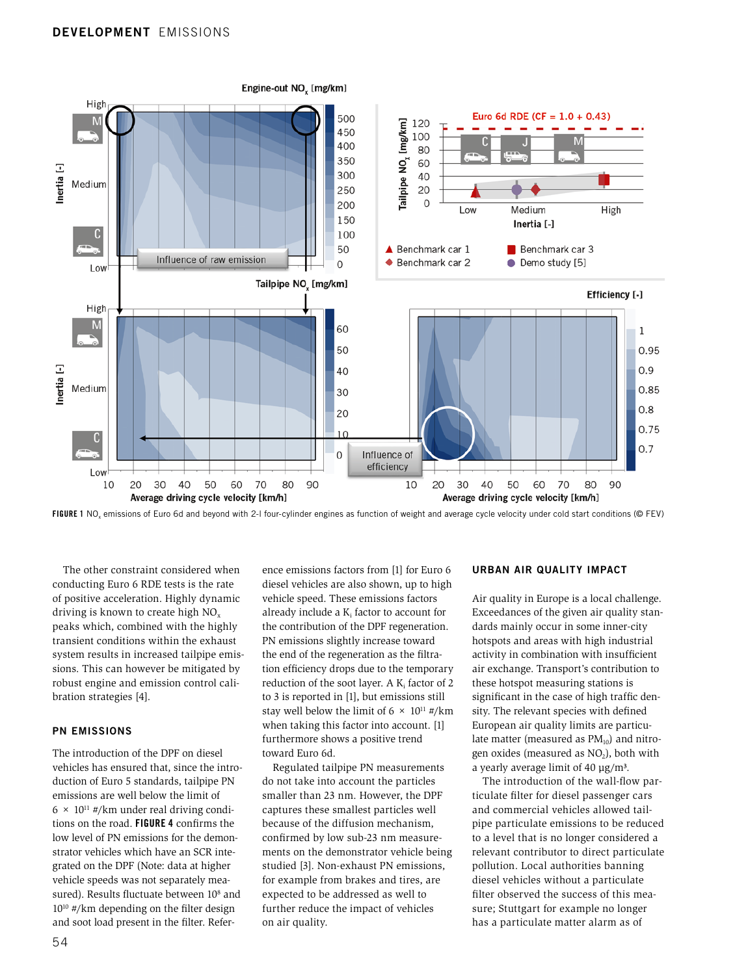

FIGURE 1 NO<sub>x</sub> emissions of Euro 6d and beyond with 2-I four-cylinder engines as function of weight and average cycle velocity under cold start conditions (© FEV)

The other constraint considered when conducting Euro 6 RDE tests is the rate of positive acceleration. Highly dynamic driving is known to create high  $NO<sub>x</sub>$ peaks which, combined with the highly transient conditions within the exhaust system results in increased tailpipe emissions. This can however be mitigated by robust engine and emission control calibration strategies [4].

#### PN EMISSIONS

The introduction of the DPF on diesel vehicles has ensured that, since the introduction of Euro 5 standards, tailpipe PN emissions are well below the limit of  $6 \times 10^{11}$  #/km under real driving conditions on the road. FIGURE 4 confirms the low level of PN emissions for the demonstrator vehicles which have an SCR integrated on the DPF (Note: data at higher vehicle speeds was not separately measured). Results fluctuate between 10<sup>8</sup> and 1010 #/km depending on the filter design and soot load present in the filter. Reference emissions factors from [1] for Euro 6 diesel vehicles are also shown, up to high vehicle speed. These emissions factors already include a  $K_i$  factor to account for the contribution of the DPF regeneration. PN emissions slightly increase toward the end of the regeneration as the filtration efficiency drops due to the temporary reduction of the soot layer. A  $K_i$  factor of 2 to 3 is reported in [1], but emissions still stay well below the limit of 6  $\times$  10<sup>11</sup> #/km when taking this factor into account. [1] furthermore shows a positive trend toward Euro 6d.

Regulated tailpipe PN measurements do not take into account the particles smaller than 23 nm. However, the DPF captures these smallest particles well because of the diffusion mechanism, confirmed by low sub-23 nm measurements on the demonstrator vehicle being studied [3]. Non-exhaust PN emissions, for example from brakes and tires, are expected to be addressed as well to further reduce the impact of vehicles on air quality.

#### URBAN AIR QUALITY IMPACT

Air quality in Europe is a local challenge. Exceedances of the given air quality standards mainly occur in some inner-city hotspots and areas with high industrial activity in combination with insufficient air exchange. Transport's contribution to these hotspot measuring stations is significant in the case of high traffic density. The relevant species with defined European air quality limits are particulate matter (measured as  $PM_{10}$ ) and nitrogen oxides (measured as  $NO<sub>2</sub>$ ), both with a yearly average limit of 40  $\mu$ g/m<sup>3</sup>.

The introduction of the wall-flow particulate filter for diesel passenger cars and commercial vehicles allowed tailpipe particulate emissions to be reduced to a level that is no longer considered a relevant contributor to direct particulate pollution. Local authorities banning diesel vehicles without a particulate filter observed the success of this measure; Stuttgart for example no longer has a particulate matter alarm as of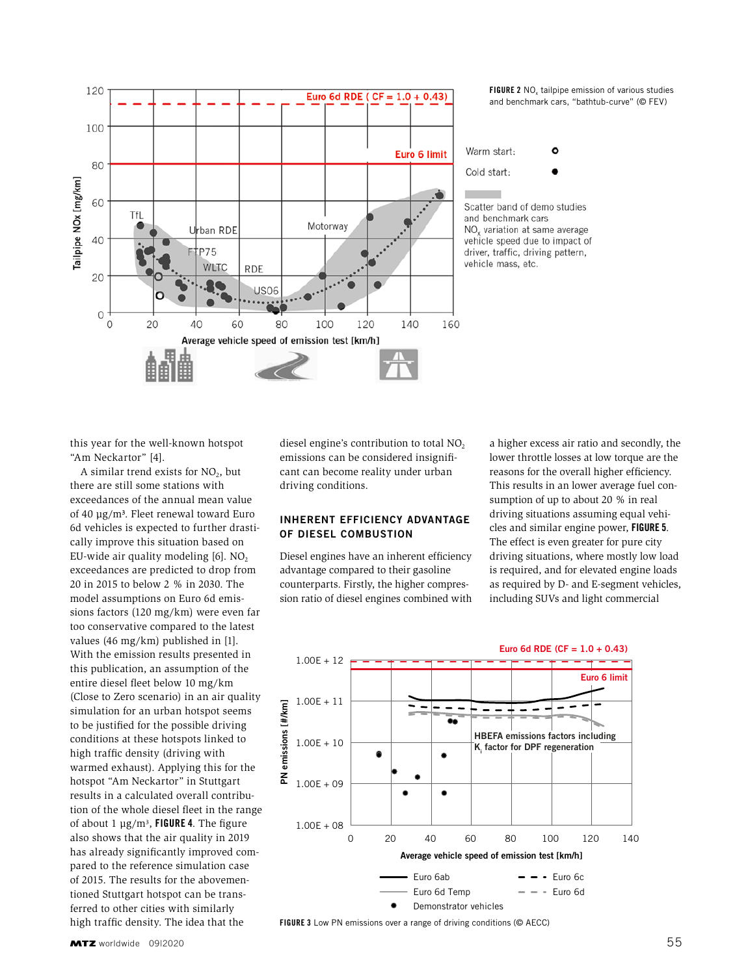

FIGURE 2 NO<sub>v</sub> tailpipe emission of various studies and benchmark cars, "bathtub-curve" (© FEV)

Warm start:  $\circ$ 



Scatter band of demo studies and benchmark cars NO<sub>v</sub> variation at same average vehicle speed due to impact of driver, traffic, driving pattern, vehicle mass, etc.

this year for the well-known hotspot "Am Neckartor" [4].

A similar trend exists for  $NO<sub>2</sub>$ , but there are still some stations with exceedances of the annual mean value of 40 µg/m³. Fleet renewal toward Euro 6d vehicles is expected to further drastically improve this situation based on EU-wide air quality modeling  $[6]$ . NO<sub>2</sub> exceedances are predicted to drop from 20 in 2015 to below 2 % in 2030. The model assumptions on Euro 6d emissions factors (120 mg/km) were even far too conservative compared to the latest values (46 mg/km) published in [1]. With the emission results presented in this publication, an assumption of the entire diesel fleet below 10 mg/km (Close to Zero scenario) in an air quality simulation for an urban hotspot seems to be justified for the possible driving conditions at these hotspots linked to high traffic density (driving with warmed exhaust). Applying this for the hotspot "Am Neckartor" in Stuttgart results in a calculated overall contribution of the whole diesel fleet in the range of about 1  $\mu$ g/m<sup>3</sup>, FIGURE 4. The figure also shows that the air quality in 2019 has already significantly improved compared to the reference simulation case of 2015. The results for the abovementioned Stuttgart hotspot can be transferred to other cities with similarly high traffic density. The idea that the

diesel engine's contribution to total NO<sub>2</sub> emissions can be considered insignificant can become reality under urban driving conditions.

## INHERENT EFFICIENCY ADVANTAGE OF DIESEL COMBUSTION

Diesel engines have an inherent efficiency advantage compared to their gasoline counterparts. Firstly, the higher compression ratio of diesel engines combined with a higher excess air ratio and secondly, the lower throttle losses at low torque are the reasons for the overall higher efficiency. This results in an lower average fuel consumption of up to about 20 % in real driving situations assuming equal vehicles and similar engine power, FIGURE 5. The effect is even greater for pure city driving situations, where mostly low load is required, and for elevated engine loads as required by D- and E-segment vehicles, including SUVs and light commercial



FIGURE 3 Low PN emissions over a range of driving conditions (© AECC)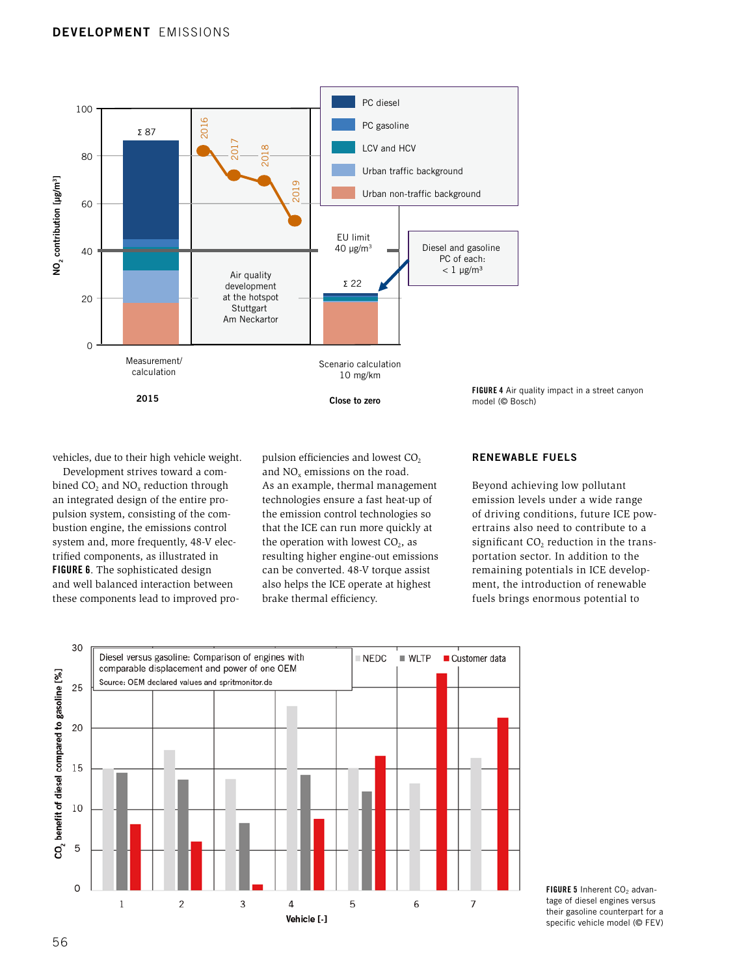

vehicles, due to their high vehicle weight.

Development strives toward a combined  $CO$ , and  $NO<sub>x</sub>$  reduction through an integrated design of the entire propulsion system, consisting of the combustion engine, the emissions control system and, more frequently, 48-V electrified components, as illustrated in FIGURE 6. The sophisticated design and well balanced interaction between these components lead to improved propulsion efficiencies and lowest  $CO<sub>2</sub>$ and NO<sub>y</sub> emissions on the road. As an example, thermal management technologies ensure a fast heat-up of the emission control technologies so that the ICE can run more quickly at the operation with lowest  $CO<sub>2</sub>$ , as resulting higher engine-out emissions can be converted. 48-V torque assist also helps the ICE operate at highest brake thermal efficiency.

#### RENEWABLE FUELS

Beyond achieving low pollutant emission levels under a wide range of driving conditions, future ICE powertrains also need to contribute to a significant  $CO<sub>2</sub>$  reduction in the transportation sector. In addition to the remaining potentials in ICE development, the introduction of renewable fuels brings enormous potential to



FIGURE 5 Inherent CO<sub>2</sub> advantage of diesel engines versus their gasoline counterpart for a specific vehicle model (© FEV)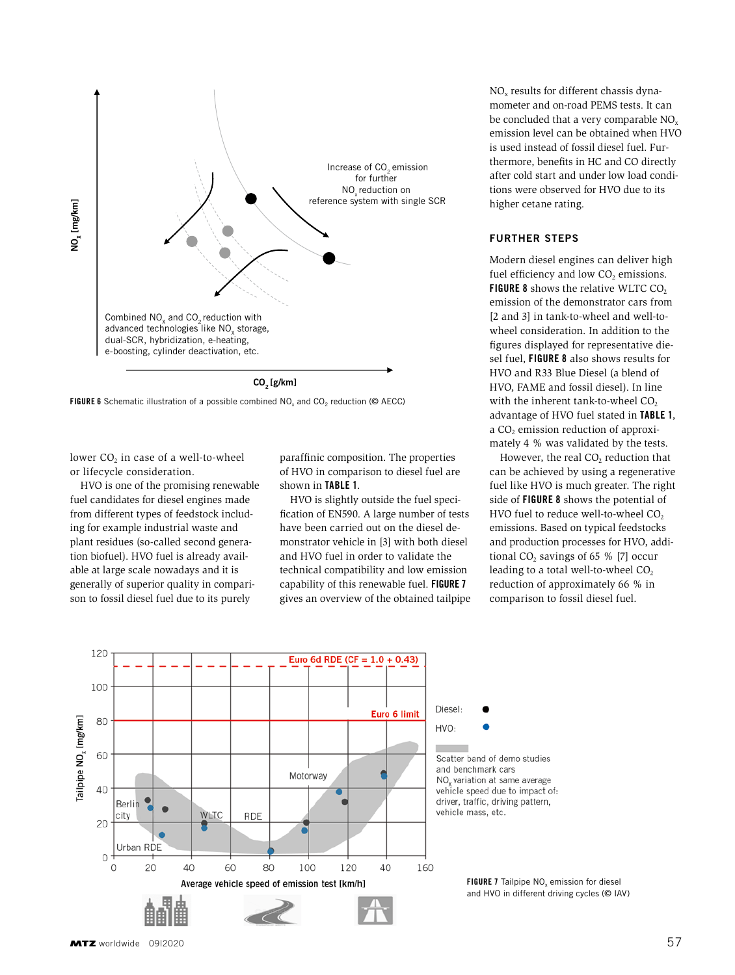



lower  $CO<sub>2</sub>$  in case of a well-to-wheel or lifecycle consideration.

HVO is one of the promising renewable fuel candidates for diesel engines made from different types of feedstock including for example industrial waste and plant residues (so-called second generation biofuel). HVO fuel is already available at large scale nowadays and it is generally of superior quality in comparison to fossil diesel fuel due to its purely

paraffinic composition. The properties of HVO in comparison to diesel fuel are shown in TABLE 1.

HVO is slightly outside the fuel specification of EN590. A large number of tests have been carried out on the diesel demonstrator vehicle in [3] with both diesel and HVO fuel in order to validate the technical compatibility and low emission capability of this renewable fuel. FIGURE 7 gives an overview of the obtained tailpipe  $NO<sub>x</sub>$  results for different chassis dynamometer and on-road PEMS tests. It can be concluded that a very comparable  $NO<sub>x</sub>$ emission level can be obtained when HVO is used instead of fossil diesel fuel. Furthermore, benefits in HC and CO directly after cold start and under low load conditions were observed for HVO due to its higher cetane rating.

## FURTHER STEPS

Modern diesel engines can deliver high fuel efficiency and low  $CO<sub>2</sub>$  emissions. FIGURE 8 shows the relative WLTC CO<sub>2</sub> emission of the demonstrator cars from [2 and 3] in tank-to-wheel and well-towheel consideration. In addition to the figures displayed for representative diesel fuel, FIGURE 8 also shows results for HVO and R33 Blue Diesel (a blend of HVO, FAME and fossil diesel). In line with the inherent tank-to-wheel CO<sub>2</sub> advantage of HVO fuel stated in TABLE 1, a CO<sub>2</sub> emission reduction of approximately 4 % was validated by the tests.

However, the real  $CO<sub>2</sub>$  reduction that can be achieved by using a regenerative fuel like HVO is much greater. The right side of FIGURE 8 shows the potential of HVO fuel to reduce well-to-wheel  $CO<sub>2</sub>$ emissions. Based on typical feedstocks and production processes for HVO, additional CO<sub>2</sub> savings of  $65 \%$  [7] occur leading to a total well-to-wheel  $CO<sub>2</sub>$ reduction of approximately 66 % in comparison to fossil diesel fuel.





**FIGURE 7** Tailpipe  $NO<sub>x</sub>$  emission for diesel and HVO in different driving cycles ( $©$  IAV)